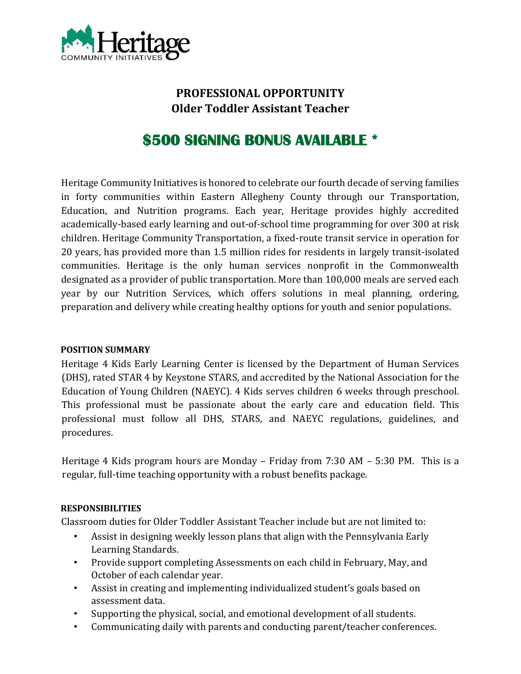

## **PROFESSIONAL OPPORTUNITY Older Toddler Assistant Teacher**

# **\$500 SIGNING BONUS AVAILABLE \***

Heritage Community Initiatives is honored to celebrate our fourth decade of serving families in forty communities within Eastern Allegheny County through our Transportation, Education, and Nutrition programs. Each year, Heritage provides highly accredited academically-based early learning and out-of-school time programming for over 300 at risk children. Heritage Community Transportation, a fixed-route transit service in operation for 20 years, has provided more than 1.5 million rides for residents in largely transit-isolated communities. Heritage is the only human services nonprofit in the Commonwealth designated as a provider of public transportation. More than 100,000 meals are served each year by our Nutrition Services, which offers solutions in meal planning, ordering, preparation and delivery while creating healthy options for youth and senior populations.

#### **POSITION SUMMARY**

Heritage 4 Kids Early Learning Center is licensed by the Department of Human Services (DHS), rated STAR 4 by Keystone STARS, and accredited by the National Association for the Education of Young Children (NAEYC). 4 Kids serves children 6 weeks through preschool. This professional must be passionate about the early care and education field. This professional must follow all DHS, STARS, and NAEYC regulations, guidelines, and procedures.

Heritage 4 Kids program hours are Monday – Friday from 7:30 AM – 5:30 PM. This is a regular, full-time teaching opportunity with a robust benefits package.

#### **RESPONSIBILITIES**

Classroom duties for Older Toddler Assistant Teacher include but are not limited to:

- Assist in designing weekly lesson plans that align with the Pennsylvania Early Learning Standards.
- Provide support completing Assessments on each child in February, May, and October of each calendar year.
- Assist in creating and implementing individualized student's goals based on assessment data.
- Supporting the physical, social, and emotional development of all students.
- Communicating daily with parents and conducting parent/teacher conferences.